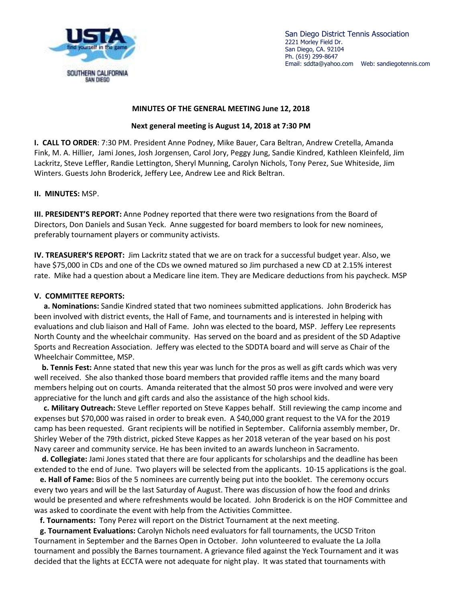

San Diego District Tennis Association 2221 Morley Field Dr. San Diego, CA. 92104 Ph. (619) 299-8647 Email: sddta@yahoo.com Web: sandiegotennis.com

## **MINUTES OF THE GENERAL MEETING June 12, 2018**

## **Next general meeting is August 14, 2018 at 7:30 PM**

**I. CALL TO ORDER**: 7:30 PM. President Anne Podney, Mike Bauer, Cara Beltran, Andrew Cretella, Amanda Fink, M. A. Hillier, Jami Jones, Josh Jorgensen, Carol Jory, Peggy Jung, Sandie Kindred, Kathleen Kleinfeld, Jim Lackritz, Steve Leffler, Randie Lettington, Sheryl Munning, Carolyn Nichols, Tony Perez, Sue Whiteside, Jim Winters. Guests John Broderick, Jeffery Lee, Andrew Lee and Rick Beltran.

## **II. MINUTES:** MSP.

**III. PRESIDENT'S REPORT:** Anne Podney reported that there were two resignations from the Board of Directors, Don Daniels and Susan Yeck. Anne suggested for board members to look for new nominees, preferably tournament players or community activists.

**IV. TREASURER'S REPORT:** Jim Lackritz stated that we are on track for a successful budget year. Also, we have \$75,000 in CDs and one of the CDs we owned matured so Jim purchased a new CD at 2.15% interest rate. Mike had a question about a Medicare line item. They are Medicare deductions from his paycheck. MSP

## **V. COMMITTEE REPORTS:**

 **a. Nominations:** Sandie Kindred stated that two nominees submitted applications. John Broderick has been involved with district events, the Hall of Fame, and tournaments and is interested in helping with evaluations and club liaison and Hall of Fame. John was elected to the board, MSP. Jeffery Lee represents North County and the wheelchair community. Has served on the board and as president of the SD Adaptive Sports and Recreation Association. Jeffery was elected to the SDDTA board and will serve as Chair of the Wheelchair Committee, MSP.

 **b. Tennis Fest:** Anne stated that new this year was lunch for the pros as well as gift cards which was very well received. She also thanked those board members that provided raffle items and the many board members helping out on courts. Amanda reiterated that the almost 50 pros were involved and were very appreciative for the lunch and gift cards and also the assistance of the high school kids.

 **c. Military Outreach:** Steve Leffler reported on Steve Kappes behalf. Still reviewing the camp income and expenses but \$70,000 was raised in order to break even. A \$40,000 grant request to the VA for the 2019 camp has been requested. Grant recipients will be notified in September. California assembly member, Dr. Shirley Weber of the 79th district, picked Steve Kappes as her 2018 veteran of the year based on his post Navy career and community service. He has been invited to an awards luncheon in Sacramento.

 **d. Collegiate:** Jami Jones stated that there are four applicants for scholarships and the deadline has been extended to the end of June. Two players will be selected from the applicants. 10-15 applications is the goal.

 **e. Hall of Fame:** Bios of the 5 nominees are currently being put into the booklet. The ceremony occurs every two years and will be the last Saturday of August. There was discussion of how the food and drinks would be presented and where refreshments would be located. John Broderick is on the HOF Committee and was asked to coordinate the event with help from the Activities Committee.

**f. Tournaments:** Tony Perez will report on the District Tournament at the next meeting.

 **g. Tournament Evaluations:** Carolyn Nichols need evaluators for fall tournaments, the UCSD Triton Tournament in September and the Barnes Open in October. John volunteered to evaluate the La Jolla tournament and possibly the Barnes tournament. A grievance filed against the Yeck Tournament and it was decided that the lights at ECCTA were not adequate for night play. It was stated that tournaments with